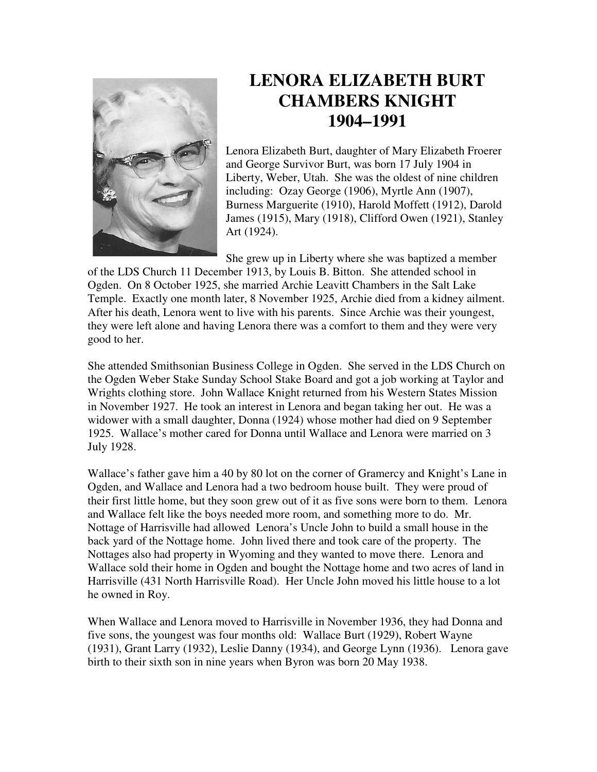

## **LENORA ELIZABETH BURT CHAMBERS KNIGHT 1904–1991**

Lenora Elizabeth Burt, daughter of Mary Elizabeth Froerer and George Survivor Burt, was born 17 July 1904 in Liberty, Weber, Utah. She was the oldest of nine children including: Ozay George (1906), Myrtle Ann (1907), Burness Marguerite (1910), Harold Moffett (1912), Darold James (1915), Mary (1918), Clifford Owen (1921), Stanley Art (1924).

She grew up in Liberty where she was baptized a member

of the LDS Church 11 December 1913, by Louis B. Bitton. She attended school in Ogden. On 8 October 1925, she married Archie Leavitt Chambers in the Salt Lake Temple. Exactly one month later, 8 November 1925, Archie died from a kidney ailment. After his death, Lenora went to live with his parents. Since Archie was their youngest, they were left alone and having Lenora there was a comfort to them and they were very good to her.

She attended Smithsonian Business College in Ogden. She served in the LDS Church on the Ogden Weber Stake Sunday School Stake Board and got a job working at Taylor and Wrights clothing store. John Wallace Knight returned from his Western States Mission in November 1927. He took an interest in Lenora and began taking her out. He was a widower with a small daughter, Donna (1924) whose mother had died on 9 September 1925. Wallace's mother cared for Donna until Wallace and Lenora were married on 3 July 1928.

Wallace's father gave him a 40 by 80 lot on the corner of Gramercy and Knight's Lane in Ogden, and Wallace and Lenora had a two bedroom house built. They were proud of their first little home, but they soon grew out of it as five sons were born to them. Lenora and Wallace felt like the boys needed more room, and something more to do. Mr. Nottage of Harrisville had allowed Lenora's Uncle John to build a small house in the back yard of the Nottage home. John lived there and took care of the property. The Nottages also had property in Wyoming and they wanted to move there. Lenora and Wallace sold their home in Ogden and bought the Nottage home and two acres of land in Harrisville (431 North Harrisville Road). Her Uncle John moved his little house to a lot he owned in Roy.

When Wallace and Lenora moved to Harrisville in November 1936, they had Donna and five sons, the youngest was four months old: Wallace Burt (1929), Robert Wayne (1931), Grant Larry (1932), Leslie Danny (1934), and George Lynn (1936). Lenora gave birth to their sixth son in nine years when Byron was born 20 May 1938.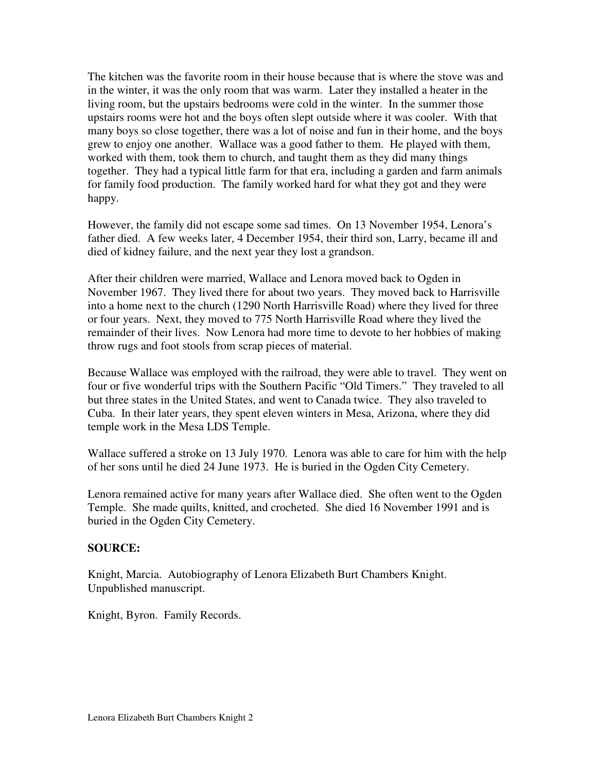The kitchen was the favorite room in their house because that is where the stove was and in the winter, it was the only room that was warm. Later they installed a heater in the living room, but the upstairs bedrooms were cold in the winter. In the summer those upstairs rooms were hot and the boys often slept outside where it was cooler. With that many boys so close together, there was a lot of noise and fun in their home, and the boys grew to enjoy one another. Wallace was a good father to them. He played with them, worked with them, took them to church, and taught them as they did many things together. They had a typical little farm for that era, including a garden and farm animals for family food production. The family worked hard for what they got and they were happy.

However, the family did not escape some sad times. On 13 November 1954, Lenora's father died. A few weeks later, 4 December 1954, their third son, Larry, became ill and died of kidney failure, and the next year they lost a grandson.

After their children were married, Wallace and Lenora moved back to Ogden in November 1967. They lived there for about two years. They moved back to Harrisville into a home next to the church (1290 North Harrisville Road) where they lived for three or four years. Next, they moved to 775 North Harrisville Road where they lived the remainder of their lives. Now Lenora had more time to devote to her hobbies of making throw rugs and foot stools from scrap pieces of material.

Because Wallace was employed with the railroad, they were able to travel. They went on four or five wonderful trips with the Southern Pacific "Old Timers." They traveled to all but three states in the United States, and went to Canada twice. They also traveled to Cuba. In their later years, they spent eleven winters in Mesa, Arizona, where they did temple work in the Mesa LDS Temple.

Wallace suffered a stroke on 13 July 1970. Lenora was able to care for him with the help of her sons until he died 24 June 1973. He is buried in the Ogden City Cemetery.

Lenora remained active for many years after Wallace died. She often went to the Ogden Temple. She made quilts, knitted, and crocheted. She died 16 November 1991 and is buried in the Ogden City Cemetery.

## **SOURCE:**

Knight, Marcia. Autobiography of Lenora Elizabeth Burt Chambers Knight. Unpublished manuscript.

Knight, Byron. Family Records.